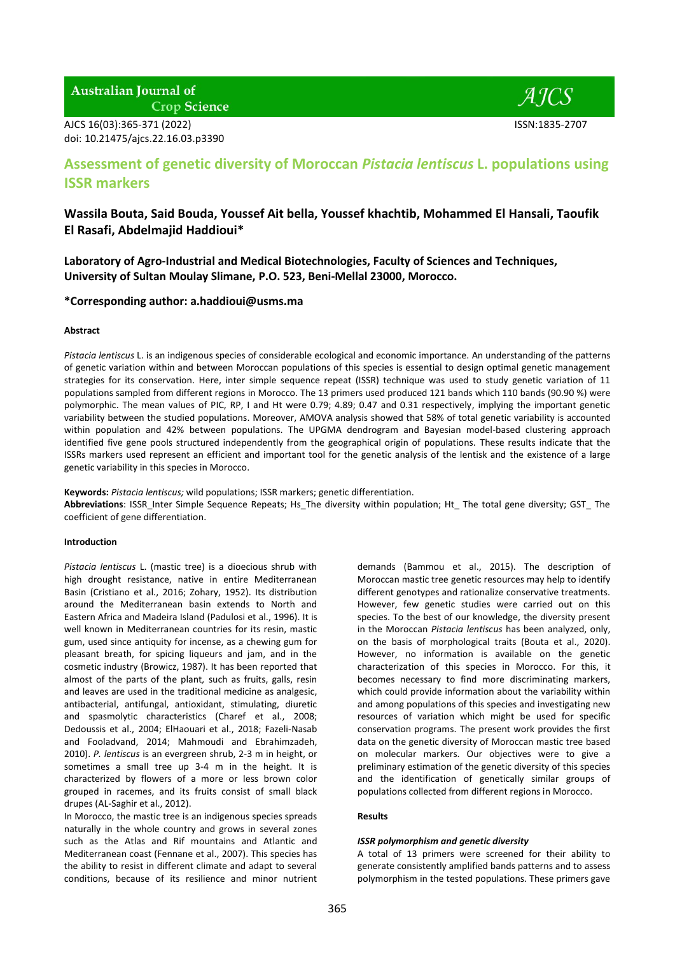## **Australian Journal of Crop Science**

AJCS 16(03):365-371 (2022) ISSN:1835-2707 doi: 10.21475/ajcs.22.16.03.p3390



# **Assessment of genetic diversity of Moroccan** *Pistacia lentiscus* **L. populations using ISSR markers**

# **Wassila Bouta, Said Bouda, Youssef Ait bella, Youssef khachtib, Mohammed El Hansali, Taoufik El Rasafi, Abdelmajid Haddioui\***

**Laboratory of Agro-Industrial and Medical Biotechnologies, Faculty of Sciences and Techniques, University of Sultan Moulay Slimane, P.O. 523, Beni-Mellal 23000, Morocco.**

### **\*Corresponding author: a.haddioui@usms.ma**

### **Abstract**

*Pistacia lentiscus* L. is an indigenous species of considerable ecological and economic importance. An understanding of the patterns of genetic variation within and between Moroccan populations of this species is essential to design optimal genetic management strategies for its conservation. Here, inter simple sequence repeat (ISSR) technique was used to study genetic variation of 11 populations sampled from different regions in Morocco. The 13 primers used produced 121 bands which 110 bands (90.90 %) were polymorphic. The mean values of PIC, RP, I and Ht were 0.79; 4.89; 0.47 and 0.31 respectively, implying the important genetic variability between the studied populations. Moreover, AMOVA analysis showed that 58% of total genetic variability is accounted within population and 42% between populations. The UPGMA dendrogram and Bayesian model-based clustering approach identified five gene pools structured independently from the geographical origin of populations. These results indicate that the ISSRs markers used represent an efficient and important tool for the genetic analysis of the lentisk and the existence of a large genetic variability in this species in Morocco.

**Keywords:** *Pistacia lentiscus;* wild populations; ISSR markers; genetic differentiation.

Abbreviations: ISSR\_Inter Simple Sequence Repeats; Hs\_The diversity within population; Ht\_ The total gene diversity; GST\_ The coefficient of gene differentiation.

### **Introduction**

*Pistacia lentiscus* L. (mastic tree) is a dioecious shrub with high drought resistance, native in entire Mediterranean Basin (Cristiano et al., 2016; Zohary, 1952). Its distribution around the Mediterranean basin extends to North and Eastern Africa and Madeira Island (Padulosi et al., 1996). It is well known in Mediterranean countries for its resin, mastic gum, used since antiquity for incense, as a chewing gum for pleasant breath, for spicing liqueurs and jam, and in the cosmetic industry (Browicz, 1987). It has been reported that almost of the parts of the plant*,* such as fruits, galls, resin and leaves are used in the traditional medicine as analgesic, antibacterial, antifungal, antioxidant, stimulating, diuretic and spasmolytic characteristics (Charef et al., 2008; Dedoussis et al., 2004; ElHaouari et al., 2018; Fazeli-Nasab and Fooladvand, 2014; Mahmoudi and Ebrahimzadeh, 2010). *P. lentiscus* is an evergreen shrub, 2-3 m in height, or sometimes a small tree up 3-4 m in the height. It is characterized by flowers of a more or less brown color grouped in racemes, and its fruits consist of small black drupes (AL-Saghir et al., 2012).

In Morocco, the mastic tree is an indigenous species spreads naturally in the whole country and grows in several zones such as the Atlas and Rif mountains and Atlantic and Mediterranean coast (Fennane et al., 2007). This species has the ability to resist in different climate and adapt to several conditions, because of its resilience and minor nutrient

demands (Bammou et al., 2015). The description of Moroccan mastic tree genetic resources may help to identify different genotypes and rationalize conservative treatments. However, few genetic studies were carried out on this species. To the best of our knowledge, the diversity present in the Moroccan *Pistacia lentiscus* has been analyzed, only, on the basis of morphological traits (Bouta et al., 2020). However, no information is available on the genetic characterization of this species in Morocco. For this, it becomes necessary to find more discriminating markers, which could provide information about the variability within and among populations of this species and investigating new resources of variation which might be used for specific conservation programs. The present work provides the first data on the genetic diversity of Moroccan mastic tree based on molecular markers. Our objectives were to give a preliminary estimation of the genetic diversity of this species and the identification of genetically similar groups of populations collected from different regions in Morocco.

### **Results**

### *ISSR polymorphism and genetic diversity*

A total of 13 primers were screened for their ability to generate consistently amplified bands patterns and to assess polymorphism in the tested populations. These primers gave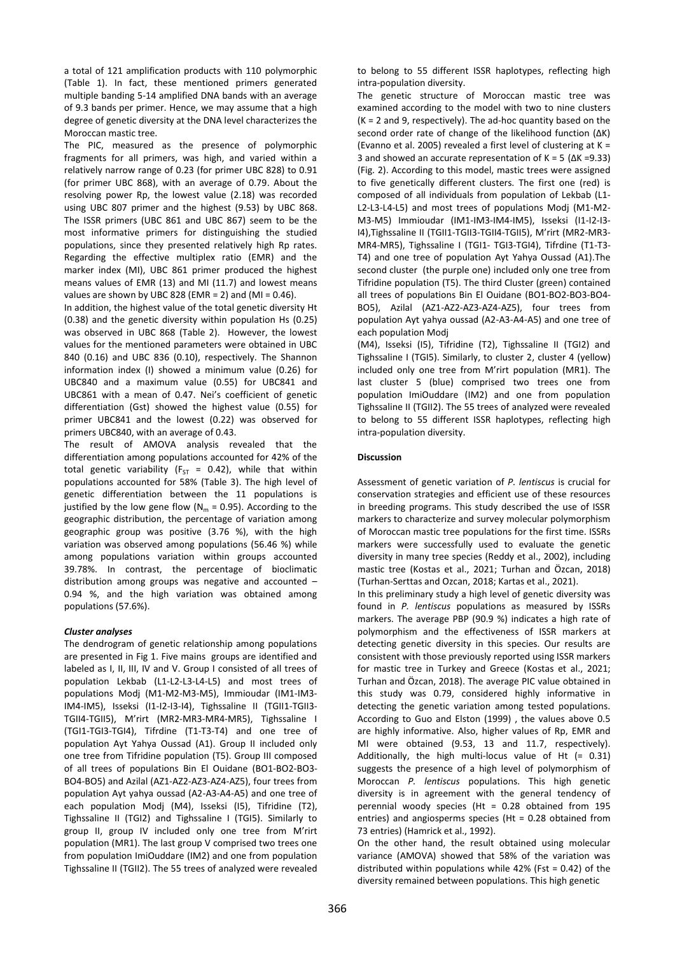a total of 121 amplification products with 110 polymorphic (Table 1). In fact, these mentioned primers generated multiple banding 5-14 amplified DNA bands with an average of 9.3 bands per primer. Hence, we may assume that a high degree of genetic diversity at the DNA level characterizes the Moroccan mastic tree.

The PIC, measured as the presence of polymorphic fragments for all primers, was high, and varied within a relatively narrow range of 0.23 (for primer UBC 828) to 0.91 (for primer UBC 868), with an average of 0.79. About the resolving power Rp, the lowest value (2.18) was recorded using UBC 807 primer and the highest (9.53) by UBC 868. The ISSR primers (UBC 861 and UBC 867) seem to be the most informative primers for distinguishing the studied populations, since they presented relatively high Rp rates. Regarding the effective multiplex ratio (EMR) and the marker index (MI), UBC 861 primer produced the highest means values of EMR (13) and MI (11.7) and lowest means values are shown by UBC 828 (EMR = 2) and (MI =  $0.46$ ).

In addition, the highest value of the total genetic diversity Ht (0.38) and the genetic diversity within population Hs (0.25) was observed in UBC 868 (Table 2). However, the lowest values for the mentioned parameters were obtained in UBC 840 (0.16) and UBC 836 (0.10), respectively. The Shannon information index (I) showed a minimum value (0.26) for UBC840 and a maximum value (0.55) for UBC841 and UBC861 with a mean of 0.47. Nei's coefficient of genetic differentiation (Gst) showed the highest value (0.55) for primer UBC841 and the lowest (0.22) was observed for primers UBC840, with an average of 0.43.

The result of AMOVA analysis revealed that the differentiation among populations accounted for 42% of the total genetic variability ( $F_{ST}$  = 0.42), while that within populations accounted for 58% (Table 3). The high level of genetic differentiation between the 11 populations is justified by the low gene flow ( $N_m = 0.95$ ). According to the geographic distribution, the percentage of variation among geographic group was positive (3.76 %), with the high variation was observed among populations (56.46 %) while among populations variation within groups accounted 39.78%. In contrast, the percentage of bioclimatic distribution among groups was negative and accounted – 0.94 %, and the high variation was obtained among populations (57.6%).

### *Cluster analyses*

The dendrogram of genetic relationship among populations are presented in Fig 1. Five mains groups are identified and labeled as I, II, III, IV and V. Group I consisted of all trees of population Lekbab (L1-L2-L3-L4-L5) and most trees of populations Modj (M1-M2-M3-M5), Immioudar (IM1-IM3- IM4-IM5), Isseksi (I1-I2-I3-I4), Tighssaline II (TGII1-TGII3- TGII4-TGII5), M'rirt (MR2-MR3-MR4-MR5), Tighssaline I (TGI1-TGI3-TGI4), Tifrdine (T1-T3-T4) and one tree of population Ayt Yahya Oussad (A1). Group II included only one tree from Tifridine population (T5). Group III composed of all trees of populations Bin El Ouidane (BO1-BO2-BO3- BO4-BO5) and Azilal (AZ1-AZ2-AZ3-AZ4-AZ5), four trees from population Ayt yahya oussad (A2-A3-A4-A5) and one tree of each population Modj (M4), Isseksi (I5), Tifridine (T2), Tighssaline II (TGI2) and Tighssaline I (TGI5). Similarly to group II, group IV included only one tree from M'rirt population (MR1). The last group V comprised two trees one from population ImiOuddare (IM2) and one from population Tighssaline II (TGII2). The 55 trees of analyzed were revealed

to belong to 55 different ISSR haplotypes, reflecting high intra-population diversity.

The genetic structure of Moroccan mastic tree was examined according to the model with two to nine clusters  $(K = 2$  and 9, respectively). The ad-hoc quantity based on the second order rate of change of the likelihood function (ΔK) (Evanno et al. 2005) revealed a first level of clustering at K = 3 and showed an accurate representation of K = 5 (ΔK =9.33) (Fig. 2). According to this model, mastic trees were assigned to five genetically different clusters. The first one (red) is composed of all individuals from population of Lekbab (L1- L2-L3-L4-L5) and most trees of populations Modj (M1-M2- M3-M5) Immioudar (IM1-IM3-IM4-IM5), Isseksi (I1-I2-I3- I4),Tighssaline II (TGII1-TGII3-TGII4-TGII5), M'rirt (MR2-MR3- MR4-MR5), Tighssaline I (TGI1- TGI3-TGI4), Tifrdine (T1-T3- T4) and one tree of population Ayt Yahya Oussad (A1).The second cluster (the purple one) included only one tree from Tifridine population (T5). The third Cluster (green) contained all trees of populations Bin El Ouidane (BO1-BO2-BO3-BO4- BO5), Azilal (AZ1-AZ2-AZ3-AZ4-AZ5), four trees from population Ayt yahya oussad (A2-A3-A4-A5) and one tree of each population Modj

(M4), Isseksi (I5), Tifridine (T2), Tighssaline II (TGI2) and Tighssaline I (TGI5). Similarly, to cluster 2, cluster 4 (yellow) included only one tree from M'rirt population (MR1). The last cluster 5 (blue) comprised two trees one from population ImiOuddare (IM2) and one from population Tighssaline II (TGII2). The 55 trees of analyzed were revealed to belong to 55 different ISSR haplotypes, reflecting high intra-population diversity.

### **Discussion**

Assessment of genetic variation of *P. lentiscus* is crucial for conservation strategies and efficient use of these resources in breeding programs. This study described the use of ISSR markers to characterize and survey molecular polymorphism of Moroccan mastic tree populations for the first time. ISSRs markers were successfully used to evaluate the genetic diversity in many tree species (Reddy et al., 2002), including mastic tree (Kostas et al., 2021; Turhan and Özcan, 2018) (Turhan-Serttas and Ozcan, 2018; Kartas et al., 2021).

In this preliminary study a high level of genetic diversity was found in *P. lentiscus* populations as measured by ISSRs markers. The average PBP (90.9 %) indicates a high rate of polymorphism and the effectiveness of ISSR markers at detecting genetic diversity in this species. Our results are consistent with those previously reported using ISSR markers for mastic tree in Turkey and Greece (Kostas et al., 2021; Turhan and Özcan, 2018). The average PIC value obtained in this study was 0.79, considered highly informative in detecting the genetic variation among tested populations. According to Guo and Elston (1999) , the values above 0.5 are highly informative. Also, higher values of Rp, EMR and MI were obtained (9.53, 13 and 11.7, respectively). Additionally, the high multi-locus value of Ht (= 0.31) suggests the presence of a high level of polymorphism of Moroccan *P. lentiscus* populations. This high genetic diversity is in agreement with the general tendency of perennial woody species (Ht = 0.28 obtained from 195 entries) and angiosperms species (Ht = 0.28 obtained from 73 entries) (Hamrick et al., 1992).

On the other hand, the result obtained using molecular variance (AMOVA) showed that 58% of the variation was distributed within populations while 42% (Fst = 0.42) of the diversity remained between populations. This high genetic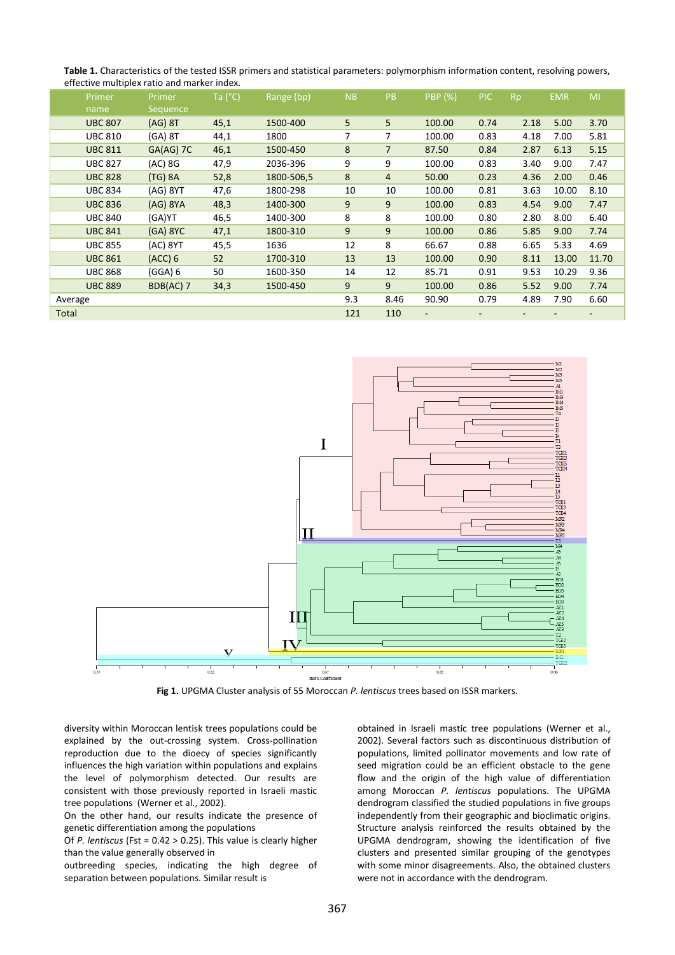| Table 1. Characteristics of the tested ISSR primers and statistical parameters: polymorphism information content, resolving powers, |
|-------------------------------------------------------------------------------------------------------------------------------------|
| effective multiplex ratio and marker index.                                                                                         |

|         | Primer         | Primer       | Ta $(^{\circ}C)$ | Range (bp) | <b>NB</b>      | PB             | <b>PBP</b> (%)           | PIC. | <b>Rp</b> | <b>EMR</b> | MI    |
|---------|----------------|--------------|------------------|------------|----------------|----------------|--------------------------|------|-----------|------------|-------|
|         | name           | Sequence     |                  |            |                |                |                          |      |           |            |       |
|         | <b>UBC 807</b> | $(AG)$ 8T    | 45,1             | 1500-400   | 5              | 5              | 100.00                   | 0.74 | 2.18      | 5.00       | 3.70  |
|         | <b>UBC 810</b> | $(GA)$ 8T    | 44,1             | 1800       | $\overline{7}$ | 7              | 100.00                   | 0.83 | 4.18      | 7.00       | 5.81  |
|         | <b>UBC 811</b> | GA(AG) 7C    | 46,1             | 1500-450   | 8              | $\overline{7}$ | 87.50                    | 0.84 | 2.87      | 6.13       | 5.15  |
|         | <b>UBC 827</b> | (AC) 8G      | 47,9             | 2036-396   | 9              | 9              | 100.00                   | 0.83 | 3.40      | 9.00       | 7.47  |
|         | <b>UBC 828</b> | $(TG)$ 8A    | 52,8             | 1800-506,5 | 8              | $\overline{4}$ | 50.00                    | 0.23 | 4.36      | 2.00       | 0.46  |
|         | <b>UBC 834</b> | $(AG)$ $8YT$ | 47,6             | 1800-298   | 10             | 10             | 100.00                   | 0.81 | 3.63      | 10.00      | 8.10  |
|         | <b>UBC 836</b> | $(AG)$ 8YA   | 48,3             | 1400-300   | 9              | 9              | 100.00                   | 0.83 | 4.54      | 9.00       | 7.47  |
|         | <b>UBC 840</b> | (GA)YT       | 46,5             | 1400-300   | 8              | 8              | 100.00                   | 0.80 | 2.80      | 8.00       | 6.40  |
|         | <b>UBC 841</b> | $(GA)$ 8YC   | 47,1             | 1800-310   | 9              | 9              | 100.00                   | 0.86 | 5.85      | 9.00       | 7.74  |
|         | <b>UBC 855</b> | (AC) 8YT     | 45,5             | 1636       | 12             | 8              | 66.67                    | 0.88 | 6.65      | 5.33       | 4.69  |
|         | <b>UBC 861</b> | (ACC) 6      | 52               | 1700-310   | 13             | 13             | 100.00                   | 0.90 | 8.11      | 13.00      | 11.70 |
|         | <b>UBC 868</b> | (GGA) 6      | 50               | 1600-350   | 14             | 12             | 85.71                    | 0.91 | 9.53      | 10.29      | 9.36  |
|         | <b>UBC 889</b> | BDB(AC) 7    | 34,3             | 1500-450   | 9              | 9              | 100.00                   | 0.86 | 5.52      | 9.00       | 7.74  |
| Average |                |              |                  |            | 9.3            | 8.46           | 90.90                    | 0.79 | 4.89      | 7.90       | 6.60  |
| Total   |                |              |                  |            | 121            | 110            | $\overline{\phantom{a}}$ |      |           |            | -     |
|         |                |              |                  |            |                |                |                          |      |           |            |       |



**Fig 1.** UPGMA Cluster analysis of 55 Moroccan *P. lentiscus* trees based on ISSR markers.

diversity within Moroccan lentisk trees populations could be explained by the out-crossing system. Cross-pollination reproduction due to the dioecy of species significantly influences the high variation within populations and explains the level of polymorphism detected. Our results are consistent with those previously reported in Israeli mastic tree populations (Werner et al., 2002).

On the other hand, our results indicate the presence of genetic differentiation among the populations

Of *P. lentiscus* (Fst = 0.42 > 0.25). This value is clearly higher than the value generally observed in

outbreeding species, indicating the high degree of separation between populations. Similar result is

obtained in Israeli mastic tree populations (Werner et al., 2002). Several factors such as discontinuous distribution of populations, limited pollinator movements and low rate of seed migration could be an efficient obstacle to the gene flow and the origin of the high value of differentiation among Moroccan *P. lentiscus* populations. The UPGMA dendrogram classified the studied populations in five groups independently from their geographic and bioclimatic origins. Structure analysis reinforced the results obtained by the UPGMA dendrogram, showing the identification of five clusters and presented similar grouping of the genotypes with some minor disagreements. Also, the obtained clusters were not in accordance with the dendrogram.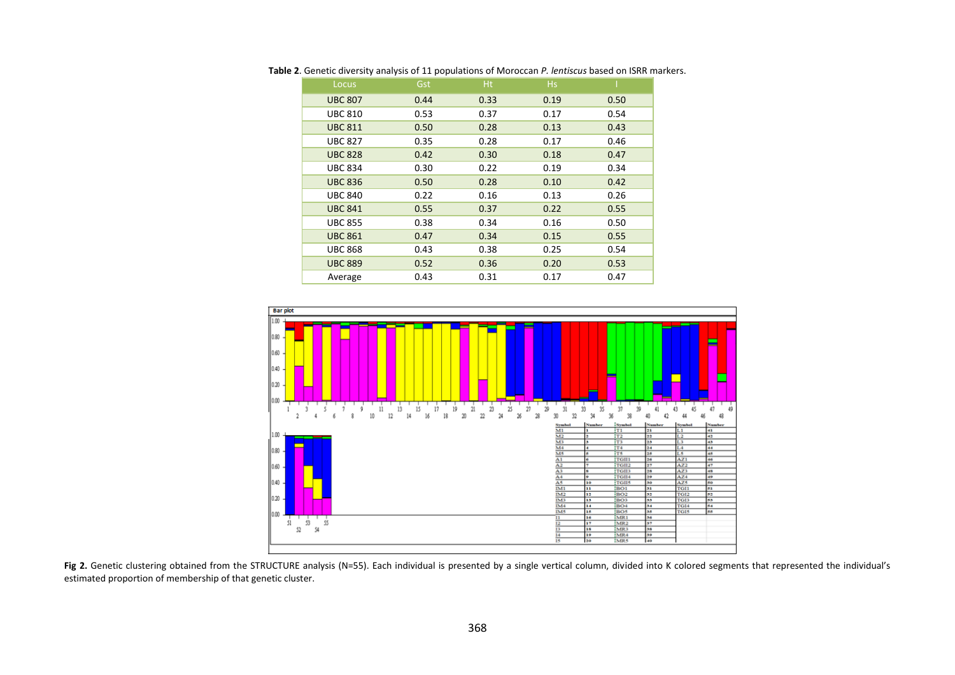| Locus          | Gst  | H <sub>t</sub> | <b>Hs</b> |      |
|----------------|------|----------------|-----------|------|
| <b>UBC 807</b> | 0.44 | 0.33           | 0.19      | 0.50 |
| <b>UBC 810</b> | 0.53 | 0.37           | 0.17      | 0.54 |
| <b>UBC 811</b> | 0.50 | 0.28           | 0.13      | 0.43 |
| <b>UBC 827</b> | 0.35 | 0.28           | 0.17      | 0.46 |
| <b>UBC 828</b> | 0.42 | 0.30           | 0.18      | 0.47 |
| <b>UBC 834</b> | 0.30 | 0.22           | 0.19      | 0.34 |
| <b>UBC 836</b> | 0.50 | 0.28           | 0.10      | 0.42 |
| <b>UBC 840</b> | 0.22 | 0.16           | 0.13      | 0.26 |
| <b>UBC 841</b> | 0.55 | 0.37           | 0.22      | 0.55 |
| <b>UBC 855</b> | 0.38 | 0.34           | 0.16      | 0.50 |
| <b>UBC 861</b> | 0.47 | 0.34           | 0.15      | 0.55 |
| <b>UBC 868</b> | 0.43 | 0.38           | 0.25      | 0.54 |
| <b>UBC 889</b> | 0.52 | 0.36           | 0.20      | 0.53 |
| Average        | 0.43 | 0.31           | 0.17      | 0.47 |

**Table 2**. Genetic diversity analysis of 11 populations of Moroccan *P. lentiscus* based on ISRR markers.



Fig 2. Genetic clustering obtained from the STRUCTURE analysis (N=55). Each individual is presented by a single vertical column, divided into K colored segments that represented the individual's estimated proportion of membership of that genetic cluster.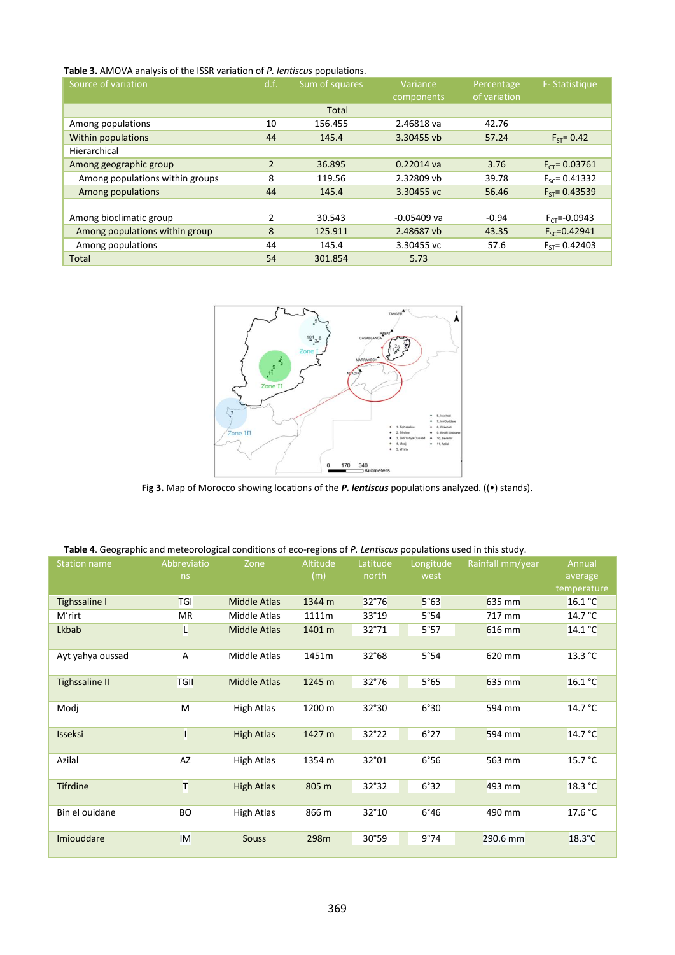### **Table 3.** AMOVA analysis of the ISSR variation of *P. lentiscus* populations.

| Source of variation             | d.f.<br>Sum of squares |         | Variance<br>components | Percentage<br>of variation | F-Statistique      |
|---------------------------------|------------------------|---------|------------------------|----------------------------|--------------------|
|                                 |                        | Total   |                        |                            |                    |
| Among populations               | 10                     | 156.455 | 2.46818 va             | 42.76                      |                    |
| <b>Within populations</b>       | 44                     | 145.4   | 3.30455 vb             | 57.24                      | $F_{ST} = 0.42$    |
| Hierarchical                    |                        |         |                        |                            |                    |
| Among geographic group          | $\overline{2}$         | 36.895  | $0.22014$ va           | 3.76                       | $F_{CT} = 0.03761$ |
| Among populations within groups | 8                      | 119.56  | 2.32809 vb             | 39.78                      | $F_{sc} = 0.41332$ |
| Among populations               | 44                     | 145.4   | 3.30455 vc             | 56.46                      | $F_{ST} = 0.43539$ |
|                                 |                        |         |                        |                            |                    |
| Among bioclimatic group         | 2                      | 30.543  | $-0.05409$ va          | $-0.94$                    | $F_{CT} = -0.0943$ |
| Among populations within group  | 8                      | 125.911 | 2.48687 vb             | 43.35                      | $F_{SC} = 0.42941$ |
| Among populations               | 44                     | 145.4   | 3.30455 vc             | 57.6                       | $F_{ST} = 0.42403$ |
| Total                           | 54                     | 301.854 | 5.73                   |                            |                    |



**Fig 3.** Map of Morocco showing locations of the *P. lentiscus* populations analyzed. ((•) stands).

### **Table 4**. Geographic and meteorological conditions of eco-regions of *P. Lentiscus* populations used in this study.

| <b>Station name</b>   | Abbreviatio<br>ns | Zone                | Altitude<br>(m) | Latitude<br>north | Longitude<br>west | Rainfall mm/year | Annual<br>average |
|-----------------------|-------------------|---------------------|-----------------|-------------------|-------------------|------------------|-------------------|
|                       |                   |                     |                 |                   |                   |                  | temperature       |
| Tighssaline I         | <b>TGI</b>        | <b>Middle Atlas</b> | 1344 m          | 32°76             | 5°63              | 635 mm           | 16.1 °C           |
| M'rirt                | МR                | Middle Atlas        | 1111m           | 33°19             | 5°54              | 717 mm           | 14.7 $\degree$ C  |
| Lkbab                 | L                 | <b>Middle Atlas</b> | 1401 m          | 32°71             | 5°57              | 616 mm           | 14.1 °C           |
| Ayt yahya oussad      | Α                 | Middle Atlas        | 1451m           | 32°68             | 5°54              | 620 mm           | 13.3 °C           |
| <b>Tighssaline II</b> | <b>TGII</b>       | <b>Middle Atlas</b> | 1245 m          | 32°76             | 5°65              | 635 mm           | 16.1 °C           |
| Modj                  | М                 | High Atlas          | 1200 m          | 32°30             | 6°30              | 594 mm           | 14.7 °C           |
| <b>Isseksi</b>        | ī                 | <b>High Atlas</b>   | 1427 m          | 32°22             | 6°27              | 594 mm           | 14.7 °C           |
| Azilal                | AZ                | High Atlas          | 1354 m          | 32°01             | 6°56              | 563 mm           | 15.7 °C           |
| <b>Tifrdine</b>       | т                 | <b>High Atlas</b>   | 805 m           | 32°32             | 6°32              | 493 mm           | 18.3 °C           |
| Bin el ouidane        | BO                | High Atlas          | 866 m           | 32°10             | $6^{\circ}46$     | 490 mm           | 17.6 °C           |
| Imiouddare            | <b>IM</b>         | <b>Souss</b>        | 298m            | 30°59             | 9°74              | $290.6$ mm       | $18.3^{\circ}$ C  |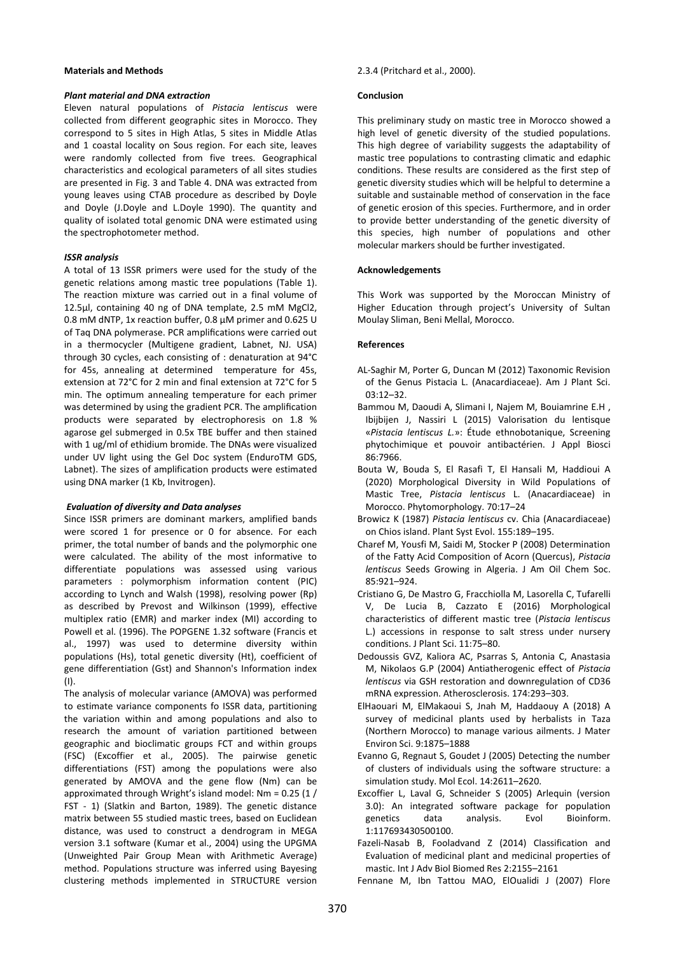### **Materials and Methods**

### *Plant material and DNA extraction*

Eleven natural populations of *Pistacia lentiscus* were collected from different geographic sites in Morocco. They correspond to 5 sites in High Atlas, 5 sites in Middle Atlas and 1 coastal locality on Sous region. For each site, leaves were randomly collected from five trees. Geographical characteristics and ecological parameters of all sites studies are presented in Fig. 3 and Table 4. DNA was extracted from young leaves using CTAB procedure as described by Doyle and Doyle (J.Doyle and L.Doyle 1990). The quantity and quality of isolated total genomic DNA were estimated using the spectrophotometer method.

### *ISSR analysis*

A total of 13 ISSR primers were used for the study of the genetic relations among mastic tree populations (Table 1). The reaction mixture was carried out in a final volume of 12.5µl, containing 40 ng of DNA template, 2.5 mM MgCl2, 0.8 mM dNTP, 1x reaction buffer, 0.8 µM primer and 0.625 U of Taq DNA polymerase. PCR amplifications were carried out in a thermocycler (Multigene gradient, Labnet, NJ. USA) through 30 cycles, each consisting of : denaturation at 94°C for 45s, annealing at determined temperature for 45s, extension at 72°C for 2 min and final extension at 72°C for 5 min. The optimum annealing temperature for each primer was determined by using the gradient PCR. The amplification products were separated by electrophoresis on 1.8 % agarose gel submerged in 0.5x TBE buffer and then stained with 1 ug/ml of ethidium bromide. The DNAs were visualized under UV light using the Gel Doc system (EnduroTM GDS, Labnet). The sizes of amplification products were estimated using DNA marker (1 Kb, Invitrogen).

### *Evaluation of diversity and Data analyses*

Since ISSR primers are dominant markers, amplified bands were scored 1 for presence or 0 for absence. For each primer, the total number of bands and the polymorphic one were calculated. The ability of the most informative to differentiate populations was assessed using various parameters : polymorphism information content (PIC) according to Lynch and Walsh (1998), resolving power (Rp) as described by Prevost and Wilkinson (1999), effective multiplex ratio (EMR) and marker index (MI) according to Powell et al. (1996). The POPGENE 1.32 software (Francis et al., 1997) was used to determine diversity within populations (Hs), total genetic diversity (Ht), coefficient of gene differentiation (Gst) and Shannon's Information index (I).

The analysis of molecular variance (AMOVA) was performed to estimate variance components fo ISSR data, partitioning the variation within and among populations and also to research the amount of variation partitioned between geographic and bioclimatic groups FCT and within groups (FSC) (Excoffier et al., 2005). The pairwise genetic differentiations (FST) among the populations were also generated by AMOVA and the gene flow (Nm) can be approximated through Wright's island model: Nm = 0.25 (1 / FST - 1) (Slatkin and Barton, 1989). The genetic distance matrix between 55 studied mastic trees, based on Euclidean distance, was used to construct a dendrogram in MEGA version 3.1 software (Kumar et al., 2004) using the UPGMA (Unweighted Pair Group Mean with Arithmetic Average) method. Populations structure was inferred using Bayesing clustering methods implemented in STRUCTURE version

### 2.3.4 (Pritchard et al., 2000).

### **Conclusion**

This preliminary study on mastic tree in Morocco showed a high level of genetic diversity of the studied populations. This high degree of variability suggests the adaptability of mastic tree populations to contrasting climatic and edaphic conditions. These results are considered as the first step of genetic diversity studies which will be helpful to determine a suitable and sustainable method of conservation in the face of genetic erosion of this species. Furthermore, and in order to provide better understanding of the genetic diversity of this species, high number of populations and other molecular markers should be further investigated.

### **Acknowledgements**

This Work was supported by the Moroccan Ministry of Higher Education through project's University of Sultan Moulay Sliman, Beni Mellal, Morocco.

### **References**

- AL-Saghir M, Porter G, Duncan M (2012) Taxonomic Revision of the Genus Pistacia L. (Anacardiaceae). Am J Plant Sci.  $03.12 - 32.$
- Bammou M, Daoudi A, Slimani I, Najem M, Bouiamrine E.H , Ibijbijen J, Nassiri L (2015) Valorisation du lentisque «*Pistacia lentiscus L.*»: Étude ethnobotanique, Screening phytochimique et pouvoir antibactérien. J Appl Biosci 86:7966.
- Bouta W, Bouda S, El Rasafi T, El Hansali M, Haddioui A (2020) Morphological Diversity in Wild Populations of Mastic Tree, *Pistacia lentiscus* L. (Anacardiaceae) in Morocco. Phytomorphology. 70:17–24
- Browicz K (1987) *Pistacia lentiscus* cv. Chia (Anacardiaceae) on Chios island. Plant Syst Evol. 155:189–195.
- Charef M, Yousfi M, Saidi M, Stocker P (2008) Determination of the Fatty Acid Composition of Acorn (Quercus), *Pistacia lentiscus* Seeds Growing in Algeria. J Am Oil Chem Soc. 85:921–924.
- Cristiano G, De Mastro G, Fracchiolla M, Lasorella C, Tufarelli V, De Lucia B, Cazzato E (2016) Morphological characteristics of different mastic tree (*Pistacia lentiscus* L.) accessions in response to salt stress under nursery conditions. J Plant Sci. 11:75–80.
- Dedoussis GVZ, Kaliora AC, Psarras S, Antonia C, Anastasia M, Nikolaos G.P (2004) Antiatherogenic effect of *Pistacia lentiscus* via GSH restoration and downregulation of CD36 mRNA expression. Atherosclerosis. 174:293–303.
- ElHaouari M, ElMakaoui S, Jnah M, Haddaouy A (2018) A survey of medicinal plants used by herbalists in Taza (Northern Morocco) to manage various ailments. J Mater Environ Sci. 9:1875–1888
- Evanno G, Regnaut S, Goudet J (2005) Detecting the number of clusters of individuals using the software structure: a simulation study. Mol Ecol. 14:2611–2620.
- Excoffier L, Laval G, Schneider S (2005) Arlequin (version 3.0): An integrated software package for population genetics data analysis. Evol Bioinform. 1:117693430500100.
- Fazeli-Nasab B, Fooladvand Z (2014) Classification and Evaluation of medicinal plant and medicinal properties of mastic. Int J Adv Biol Biomed Res 2:2155–2161

Fennane M, Ibn Tattou MAO, ElOualidi J (2007) Flore